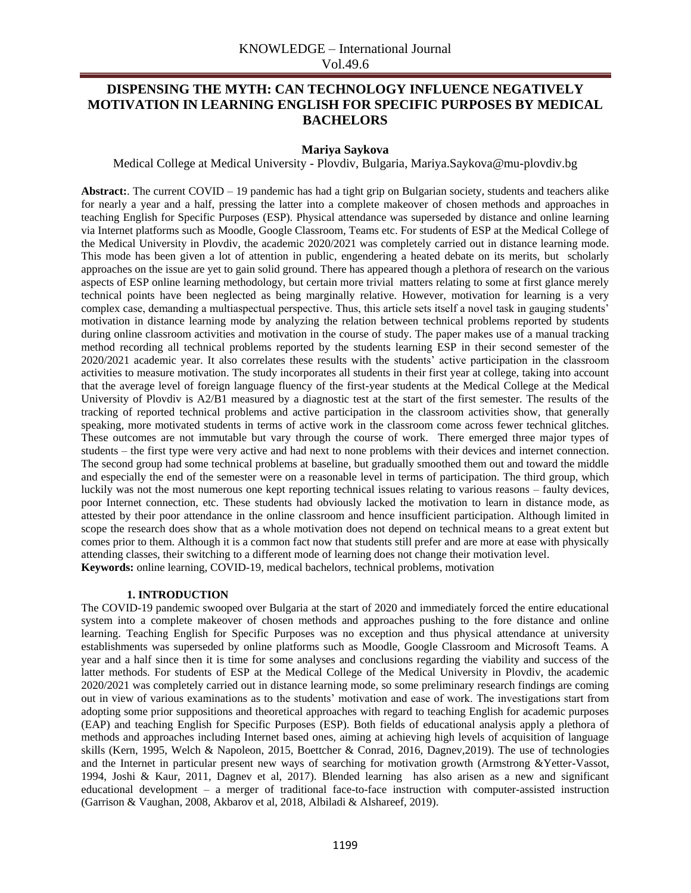# **DISPENSING THE MYTH: CAN TECHNOLOGY INFLUENCE NEGATIVELY MOTIVATION IN LEARNING ENGLISH FOR SPECIFIC PURPOSES BY MEDICAL BACHELORS**

## **Mariya Saykova**

Medical College at Medical University - Plovdiv, Bulgaria, Mariya.Saykova@mu-plovdiv.bg

**Abstract:**. The current COVID – 19 pandemic has had a tight grip on Bulgarian society, students and teachers alike for nearly a year and a half, pressing the latter into a complete makeover of chosen methods and approaches in teaching English for Specific Purposes (ESP). Physical attendance was superseded by distance and online learning via Internet platforms such as Moodle, Google Classroom, Teams etc. For students of ESP at the Medical College of the Medical University in Plovdiv, the academic 2020/2021 was completely carried out in distance learning mode. This mode has been given a lot of attention in public, engendering a heated debate on its merits, but scholarly approaches on the issue are yet to gain solid ground. There has appeared though a plethora of research on the various aspects of ESP online learning methodology, but certain more trivial matters relating to some at first glance merely technical points have been neglected as being marginally relative. However, motivation for learning is a very complex case, demanding a multiaspectual perspective. Thus, this article sets itself a novel task in gauging students' motivation in distance learning mode by analyzing the relation between technical problems reported by students during online classroom activities and motivation in the course of study. The paper makes use of a manual tracking method recording all technical problems reported by the students learning ESP in their second semester of the 2020/2021 academic year. It also correlates these results with the students' active participation in the classroom activities to measure motivation. The study incorporates all students in their first year at college, taking into account that the average level of foreign language fluency of the first-year students at the Medical College at the Medical University of Plovdiv is A2/B1 measured by a diagnostic test at the start of the first semester. The results of the tracking of reported technical problems and active participation in the classroom activities show, that generally speaking, more motivated students in terms of active work in the classroom come across fewer technical glitches. These outcomes are not immutable but vary through the course of work. There emerged three major types of students – the first type were very active and had next to none problems with their devices and internet connection. The second group had some technical problems at baseline, but gradually smoothed them out and toward the middle and especially the end of the semester were on a reasonable level in terms of participation. The third group, which luckily was not the most numerous one kept reporting technical issues relating to various reasons – faulty devices, poor Internet connection, etc. These students had obviously lacked the motivation to learn in distance mode, as attested by their poor attendance in the online classroom and hence insufficient participation. Although limited in scope the research does show that as a whole motivation does not depend on technical means to a great extent but comes prior to them. Although it is a common fact now that students still prefer and are more at ease with physically attending classes, their switching to a different mode of learning does not change their motivation level. **Keywords:** online learning, COVID-19, medical bachelors, technical problems, motivation

#### **1. INTRODUCTION**

The COVID-19 pandemic swooped over Bulgaria at the start of 2020 and immediately forced the entire educational system into a complete makeover of chosen methods and approaches pushing to the fore distance and online learning. Teaching English for Specific Purposes was no exception and thus physical attendance at university establishments was superseded by online platforms such as Moodle, Google Classroom and Microsoft Teams. A year and a half since then it is time for some analyses and conclusions regarding the viability and success of the latter methods. For students of ESP at the Medical College of the Medical University in Plovdiv, the academic 2020/2021 was completely carried out in distance learning mode, so some preliminary research findings are coming out in view of various examinations as to the students' motivation and ease of work. The investigations start from adopting some prior suppositions and theoretical approaches with regard to teaching English for academic purposes (EAP) and teaching English for Specific Purposes (ESP). Both fields of educational analysis apply a plethora of methods and approaches including Internet based ones, aiming at achieving high levels of acquisition of language skills (Kern, 1995, Welch & Napoleon, 2015, Boettcher & Conrad, 2016, Dagnev,2019). The use of technologies and the Internet in particular present new ways of searching for motivation growth (Armstrong &Yetter-Vassot, 1994, Joshi & Kaur, 2011, Dagnev et al, 2017). Blended learning has also arisen as a new and significant educational development – a merger of traditional face-to-face instruction with computer-assisted instruction (Garrison & Vaughan, 2008, Akbarov et al, 2018, Albiladi & Alshareef, 2019).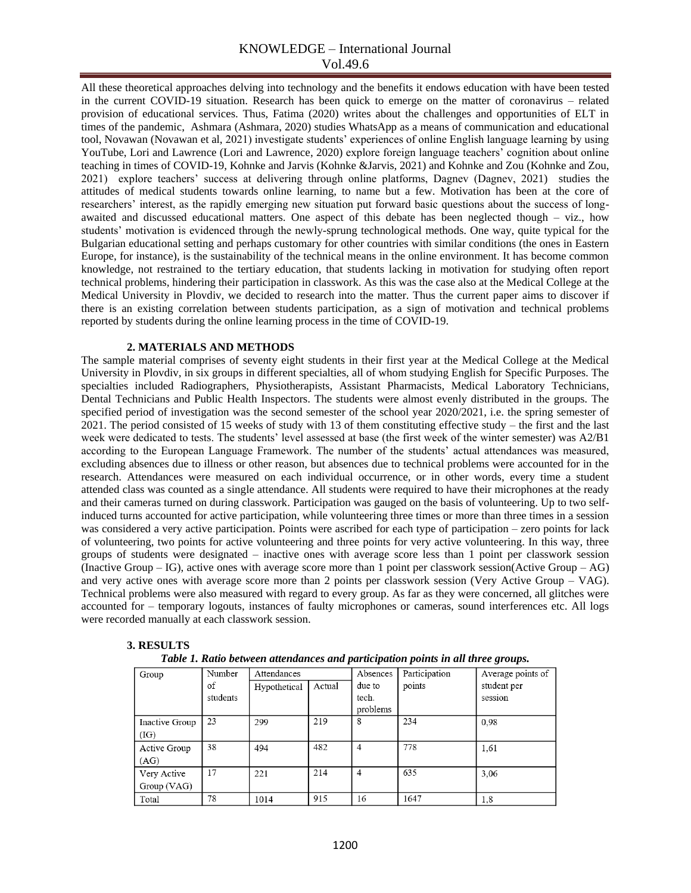## KNOWLEDGE – International Journal Vol.49.6

All these theoretical approaches delving into technology and the benefits it endows education with have been tested in the current COVID-19 situation. Research has been quick to emerge on the matter of coronavirus – related provision of educational services. Thus, Fatima (2020) writes about the challenges and opportunities of ELT in times of the pandemic, Ashmara (Ashmara, 2020) studies WhatsApp as a means of communication and educational tool, Novawan (Novawan et al, 2021) investigate students' experiences of online English language learning by using YouTube, Lori and Lawrence (Lori and Lawrence, 2020) explore foreign language teachers' cognition about online teaching in times of COVID-19, Kohnke and Jarvis (Kohnke &Jarvis, 2021) and Kohnke and Zou (Kohnke and Zou, 2021) explore teachers' success at delivering through online platforms, Dagnev (Dagnev, 2021) studies the attitudes of medical students towards online learning, to name but a few. Motivation has been at the core of researchers' interest, as the rapidly emerging new situation put forward basic questions about the success of longawaited and discussed educational matters. One aspect of this debate has been neglected though – viz., how students' motivation is evidenced through the newly-sprung technological methods. One way, quite typical for the Bulgarian educational setting and perhaps customary for other countries with similar conditions (the ones in Eastern Europe, for instance), is the sustainability of the technical means in the online environment. It has become common knowledge, not restrained to the tertiary education, that students lacking in motivation for studying often report technical problems, hindering their participation in classwork. As this was the case also at the Medical College at the Medical University in Plovdiv, we decided to research into the matter. Thus the current paper aims to discover if there is an existing correlation between students participation, as a sign of motivation and technical problems reported by students during the online learning process in the time of COVID-19.

### **2. MATERIALS AND METHODS**

The sample material comprises of seventy eight students in their first year at the Medical College at the Medical University in Plovdiv, in six groups in different specialties, all of whom studying English for Specific Purposes. The specialties included Radiographers, Physiotherapists, Assistant Pharmacists, Medical Laboratory Technicians, Dental Technicians and Public Health Inspectors. The students were almost evenly distributed in the groups. The specified period of investigation was the second semester of the school year 2020/2021, i.e. the spring semester of 2021. The period consisted of 15 weeks of study with 13 of them constituting effective study – the first and the last week were dedicated to tests. The students' level assessed at base (the first week of the winter semester) was A2/B1 according to the European Language Framework. The number of the students' actual attendances was measured, excluding absences due to illness or other reason, but absences due to technical problems were accounted for in the research. Attendances were measured on each individual occurrence, or in other words, every time a student attended class was counted as a single attendance. All students were required to have their microphones at the ready and their cameras turned on during classwork. Participation was gauged on the basis of volunteering. Up to two selfinduced turns accounted for active participation, while volunteering three times or more than three times in a session was considered a very active participation. Points were ascribed for each type of participation – zero points for lack of volunteering, two points for active volunteering and three points for very active volunteering. In this way, three groups of students were designated – inactive ones with average score less than 1 point per classwork session (Inactive Group – IG), active ones with average score more than 1 point per classwork session(Active Group – AG) and very active ones with average score more than 2 points per classwork session (Very Active Group – VAG). Technical problems were also measured with regard to every group. As far as they were concerned, all glitches were accounted for – temporary logouts, instances of faulty microphones or cameras, sound interferences etc. All logs were recorded manually at each classwork session.

#### **3. RESULTS**

| wo is a alwing over ever will have always with particle with pothing the will have <b>A</b> lowpot |          |              |        |                |               |                   |  |  |  |
|----------------------------------------------------------------------------------------------------|----------|--------------|--------|----------------|---------------|-------------------|--|--|--|
| Group                                                                                              | Number   | Attendances  |        | Absences       | Participation | Average points of |  |  |  |
|                                                                                                    | of       | Hypothetical | Actual | due to         | points        | student per       |  |  |  |
|                                                                                                    | students |              |        | tech.          |               | session           |  |  |  |
|                                                                                                    |          |              |        | problems       |               |                   |  |  |  |
| Inactive Group                                                                                     | 23       | 299          | 219    | 8              | 234           | 0.98              |  |  |  |
| (IG)                                                                                               |          |              |        |                |               |                   |  |  |  |
| Active Group                                                                                       | 38       | 494          | 482    | $\overline{4}$ | 778           | 1,61              |  |  |  |
| (AG)                                                                                               |          |              |        |                |               |                   |  |  |  |
| Very Active                                                                                        | 17       | 221          | 214    | 4              | 635           | 3,06              |  |  |  |
| Group (VAG)                                                                                        |          |              |        |                |               |                   |  |  |  |
| Total                                                                                              | 78       | 1014         | 915    | 16             | 1647          | 1,8               |  |  |  |

#### *Table 1. Ratio between attendances and participation points in all three groups.*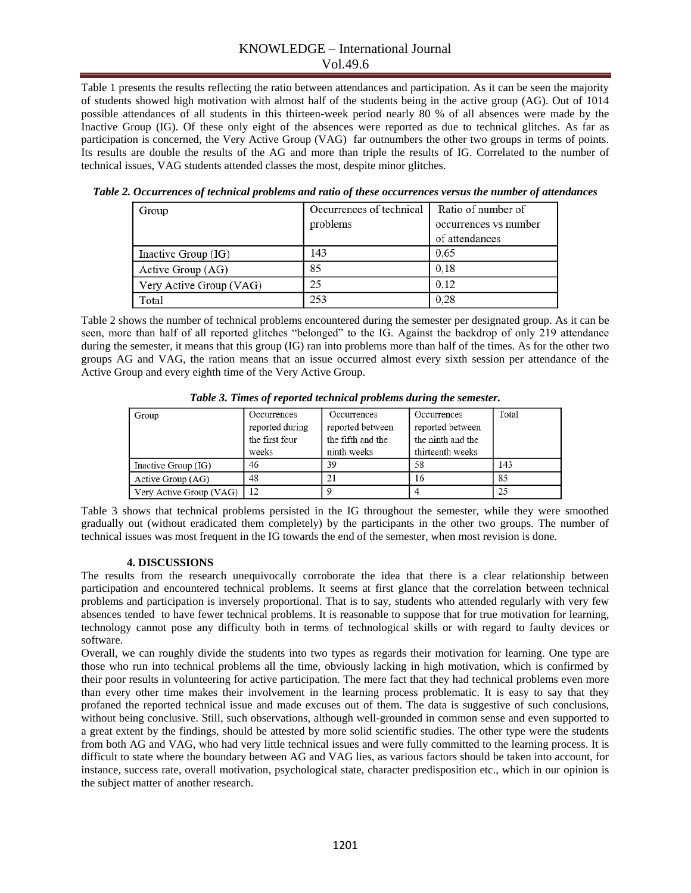## KNOWLEDGE – International Journal Vol.49.6

Table 1 presents the results reflecting the ratio between attendances and participation. As it can be seen the majority of students showed high motivation with almost half of the students being in the active group (AG). Out of 1014 possible attendances of all students in this thirteen-week period nearly 80 % of all absences were made by the Inactive Group (IG). Of these only eight of the absences were reported as due to technical glitches. As far as participation is concerned, the Very Active Group (VAG) far outnumbers the other two groups in terms of points. Its results are double the results of the AG and more than triple the results of IG. Correlated to the number of technical issues, VAG students attended classes the most, despite minor glitches.

| Group                   | Occurrences of technical | Ratio of number of    |  |
|-------------------------|--------------------------|-----------------------|--|
|                         | problems                 | occurrences vs number |  |
|                         |                          | of attendances        |  |
| Inactive Group (IG)     | 143                      | 0.65                  |  |
| Active Group (AG)       | 85                       | 0.18                  |  |
| Very Active Group (VAG) | 25                       | 0.12                  |  |
| Total                   | 253                      | 0,28                  |  |

*Table 2. Occurrences of technical problems and ratio of these occurrences versus the number of attendances*

Table 2 shows the number of technical problems encountered during the semester per designated group. As it can be seen, more than half of all reported glitches "belonged" to the IG. Against the backdrop of only 219 attendance during the semester, it means that this group (IG) ran into problems more than half of the times. As for the other two groups AG and VAG, the ration means that an issue occurred almost every sixth session per attendance of the Active Group and every eighth time of the Very Active Group.

| Group                   | Occurrences     | Occurrences       | Occurrences       | Total |
|-------------------------|-----------------|-------------------|-------------------|-------|
|                         | reported during | reported between  | reported between  |       |
|                         | the first four  | the fifth and the | the ninth and the |       |
|                         | weeks           | ninth weeks       | thirteenth weeks  |       |
| Inactive Group (IG)     | 46              | 39                | 58                | 143   |
| Active Group (AG)       | 48              | 21                | 16                | 85    |
| Very Active Group (VAG) |                 |                   |                   | 25    |

*Table 3. Times of reported technical problems during the semester.*

Table 3 shows that technical problems persisted in the IG throughout the semester, while they were smoothed gradually out (without eradicated them completely) by the participants in the other two groups. The number of technical issues was most frequent in the IG towards the end of the semester, when most revision is done.

## **4. DISCUSSIONS**

The results from the research unequivocally corroborate the idea that there is a clear relationship between participation and encountered technical problems. It seems at first glance that the correlation between technical problems and participation is inversely proportional. That is to say, students who attended regularly with very few absences tended to have fewer technical problems. It is reasonable to suppose that for true motivation for learning, technology cannot pose any difficulty both in terms of technological skills or with regard to faulty devices or software.

Overall, we can roughly divide the students into two types as regards their motivation for learning. One type are those who run into technical problems all the time, obviously lacking in high motivation, which is confirmed by their poor results in volunteering for active participation. The mere fact that they had technical problems even more than every other time makes their involvement in the learning process problematic. It is easy to say that they profaned the reported technical issue and made excuses out of them. The data is suggestive of such conclusions, without being conclusive. Still, such observations, although well-grounded in common sense and even supported to a great extent by the findings, should be attested by more solid scientific studies. The other type were the students from both AG and VAG, who had very little technical issues and were fully committed to the learning process. It is difficult to state where the boundary between AG and VAG lies, as various factors should be taken into account, for instance, success rate, overall motivation, psychological state, character predisposition etc., which in our opinion is the subject matter of another research.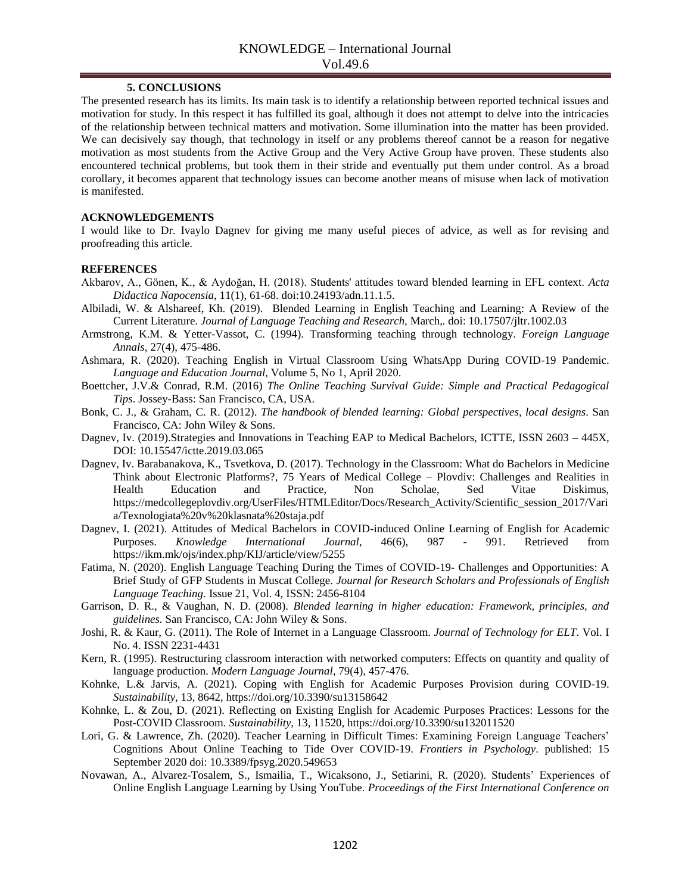### **5. CONCLUSIONS**

The presented research has its limits. Its main task is to identify a relationship between reported technical issues and motivation for study. In this respect it has fulfilled its goal, although it does not attempt to delve into the intricacies of the relationship between technical matters and motivation. Some illumination into the matter has been provided. We can decisively say though, that technology in itself or any problems thereof cannot be a reason for negative motivation as most students from the Active Group and the Very Active Group have proven. These students also encountered technical problems, but took them in their stride and eventually put them under control. As a broad corollary, it becomes apparent that technology issues can become another means of misuse when lack of motivation is manifested.

### **ACKNOWLEDGEMENTS**

I would like to Dr. Ivaylo Dagnev for giving me many useful pieces of advice, as well as for revising and proofreading this article.

## **REFERENCES**

- Akbarov, A., Gönen, K., & Aydoğan, H. (2018). Students' attitudes toward blended learning in EFL context. *Acta Didactica Napocensia*, 11(1), 61-68. doi:10.24193/adn.11.1.5.
- Albiladi, W. & Alshareef, Kh. (2019). Blended Learning in English Teaching and Learning: A Review of the Current Literature. *Journal of Language Teaching and Research,* March,*.* doi: 10.17507/jltr.1002.03
- Armstrong, K.M. & Yetter-Vassot, C. (1994). Transforming teaching through technology. *Foreign Language Annals*, 27(4), 475-486.
- Ashmara, R. (2020). Teaching English in Virtual Classroom Using WhatsApp During COVID-19 Pandemic. *Language and Education Journal*, Volume 5, No 1, April 2020.
- Boettcher, J.V.& Conrad, R.M. (2016) *The Online Teaching Survival Guide: Simple and Practical Pedagogical Tips*. Jossey-Bass: San Francisco, CA, USA.
- Bonk, C. J., & Graham, C. R. (2012). *The handbook of blended learning: Global perspectives, local designs*. San Francisco, CA: John Wiley & Sons.
- Dagnev, Iv. (2019).Strategies and Innovations in Teaching EAP to Medical Bachelors, ICTTE, ISSN 2603 445X, DOI: 10.15547/ictte.2019.03.065
- Dagnev, Iv. Barabanakova, K., Tsvetkova, D. (2017). Technology in the Classroom: What do Bachelors in Medicine Think about Electronic Platforms?, 75 Years of Medical College – Plovdiv: Challenges and Realities in Health Education and Practice, Non Scholae, Sed Vitae Diskimus, https://medcollegeplovdiv.org/UserFiles/HTMLEditor/Docs/Research\_Activity/Scientific\_session\_2017/Vari a/Texnologiata%20v%20klasnata%20staja.pdf
- Dagnev, I. (2021). Attitudes of Medical Bachelors in COVID-induced Online Learning of English for Academic Purposes. *Knowledge International Journal*, 46(6), 987 - 991. Retrieved from https://ikm.mk/ojs/index.php/KIJ/article/view/5255
- Fatima, N. (2020). English Language Teaching During the Times of COVID-19- Challenges and Opportunities: A Brief Study of GFP Students in Muscat College. *Journal for Research Scholars and Professionals of English Language Teaching*. Issue 21, Vol. 4, ISSN: 2456-8104
- Garrison, D. R., & Vaughan, N. D. (2008). *Blended learning in higher education: Framework, principles, and guidelines.* San Francisco, CA: John Wiley & Sons.
- Joshi, R. & Kaur, G. (2011). The Role of Internet in a Language Classroom. *Journal of Technology for ELT*. Vol. I No. 4. ISSN 2231-4431
- Kern, R. (1995). Restructuring classroom interaction with networked computers: Effects on quantity and quality of language production. *Modern Language Journal*, 79(4), 457-476.
- Kohnke, L.& Jarvis, A. (2021). Coping with English for Academic Purposes Provision during COVID-19. *Sustainability*, 13, 8642, https://doi.org/10.3390/su13158642
- Kohnke, L. & Zou, D. (2021). Reflecting on Existing English for Academic Purposes Practices: Lessons for the Post-COVID Classroom. *Sustainability*, 13, 11520, https://doi.org/10.3390/su132011520
- Lori, G. & Lawrence, Zh. (2020). Teacher Learning in Difficult Times: Examining Foreign Language Teachers' Cognitions About Online Teaching to Tide Over COVID-19. *Frontiers in Psychology*. published: 15 September 2020 doi: 10.3389/fpsyg.2020.549653
- Novawan, A., Alvarez-Tosalem, S., Ismailia, T., Wicaksono, J., Setiarini, R. (2020). Students' Experiences of Online English Language Learning by Using YouTube*. Proceedings of the First International Conference on*